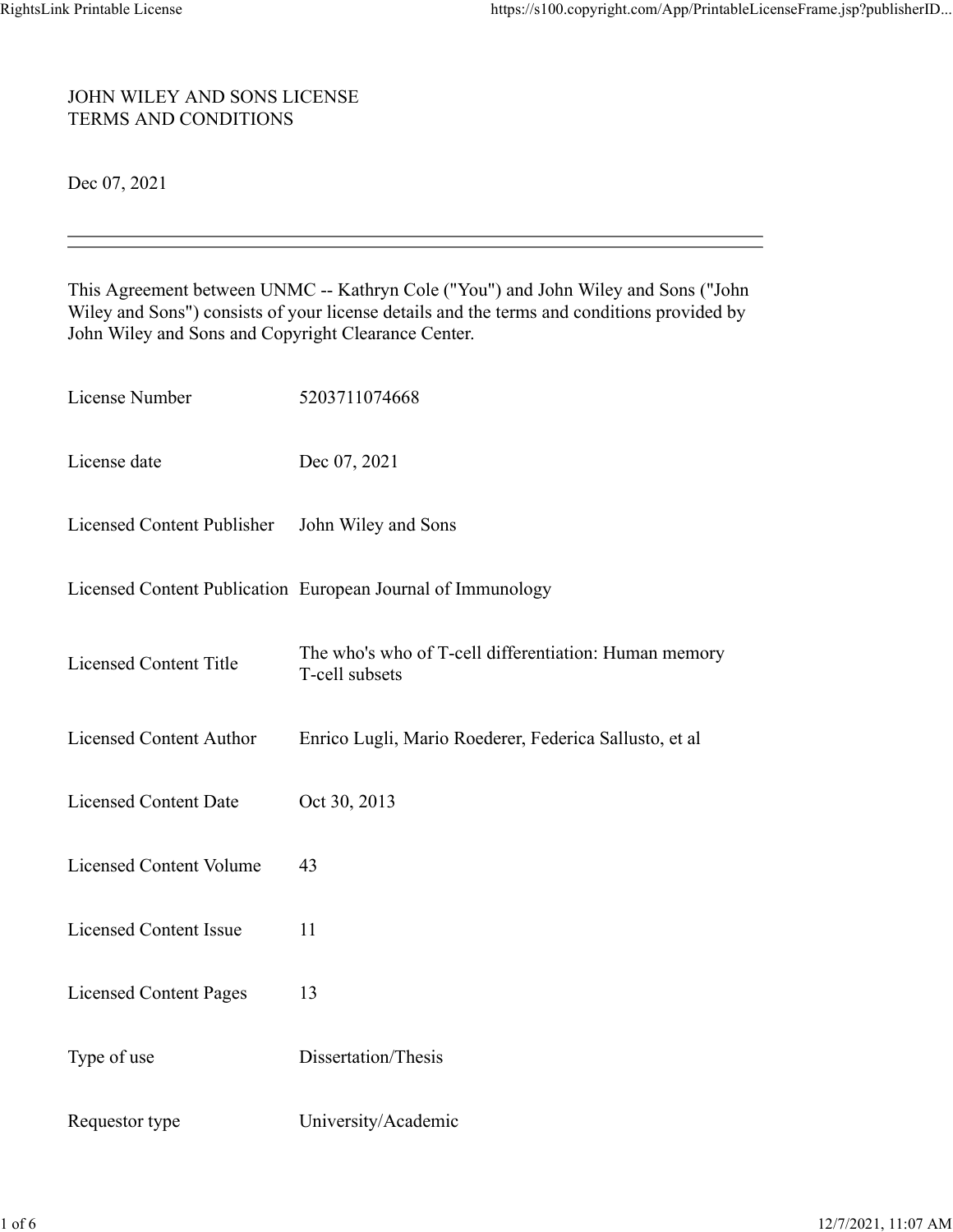| k Printable License                                        | https://s100.copyright.com/App/PrintableLicenseFrame.jsp?publisherID                                                                                                             |                      |  |
|------------------------------------------------------------|----------------------------------------------------------------------------------------------------------------------------------------------------------------------------------|----------------------|--|
| JOHN WILEY AND SONS LICENSE<br><b>TERMS AND CONDITIONS</b> |                                                                                                                                                                                  |                      |  |
| Dec 07, 2021                                               |                                                                                                                                                                                  |                      |  |
|                                                            |                                                                                                                                                                                  |                      |  |
| John Wiley and Sons and Copyright Clearance Center.        | This Agreement between UNMC -- Kathryn Cole ("You") and John Wiley and Sons ("John<br>Wiley and Sons") consists of your license details and the terms and conditions provided by |                      |  |
| License Number                                             | 5203711074668                                                                                                                                                                    |                      |  |
| License date                                               | Dec 07, 2021                                                                                                                                                                     |                      |  |
| <b>Licensed Content Publisher</b>                          | John Wiley and Sons                                                                                                                                                              |                      |  |
|                                                            | Licensed Content Publication European Journal of Immunology                                                                                                                      |                      |  |
| <b>Licensed Content Title</b>                              | The who's who of T-cell differentiation: Human memory<br>T-cell subsets                                                                                                          |                      |  |
| Licensed Content Author                                    | Enrico Lugli, Mario Roederer, Federica Sallusto, et al                                                                                                                           |                      |  |
| <b>Licensed Content Date</b>                               | Oct 30, 2013                                                                                                                                                                     |                      |  |
| <b>Licensed Content Volume</b>                             | 43                                                                                                                                                                               |                      |  |
| <b>Licensed Content Issue</b>                              | 11                                                                                                                                                                               |                      |  |
| <b>Licensed Content Pages</b>                              | 13                                                                                                                                                                               |                      |  |
| Type of use                                                | Dissertation/Thesis                                                                                                                                                              |                      |  |
| Requestor type                                             | University/Academic                                                                                                                                                              |                      |  |
|                                                            |                                                                                                                                                                                  |                      |  |
|                                                            |                                                                                                                                                                                  | $12/7/2021$ 11.07 AM |  |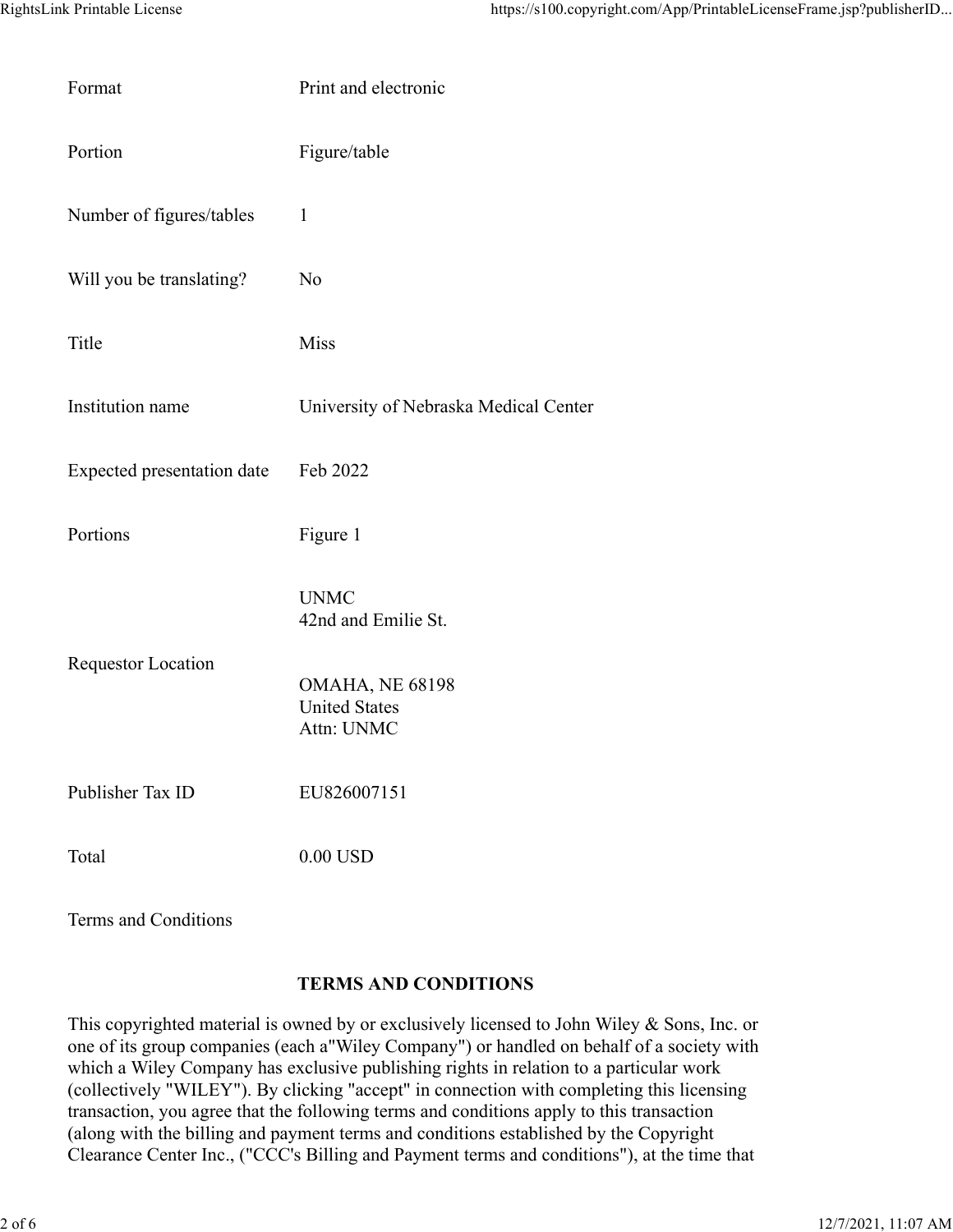|  | RightsLink Printable License | https://s100.copyright.com/App/PrintableLicenseFrame.jsp?publisherID |
|--|------------------------------|----------------------------------------------------------------------|
|  | Format                       | Print and electronic                                                 |
|  | Portion                      | Figure/table                                                         |
|  | Number of figures/tables     | $\mathbf{1}$                                                         |
|  | Will you be translating?     | No                                                                   |
|  | Title                        | Miss                                                                 |
|  | Institution name             | University of Nebraska Medical Center                                |
|  | Expected presentation date   | Feb 2022                                                             |
|  | Portions                     | Figure 1                                                             |
|  | Requestor Location           | <b>UNMC</b><br>42nd and Emilie St.                                   |
|  |                              | <b>OMAHA, NE 68198</b><br><b>United States</b><br>Attn: UNMC         |
|  | Publisher Tax ID             | EU826007151                                                          |
|  | Total                        | $0.00$ USD                                                           |
|  | Terms and Conditions         |                                                                      |
|  |                              |                                                                      |

# TERMS AND CONDITIONS

This copyrighted material is owned by or exclusively licensed to John Wiley & Sons, Inc. or one of its group companies (each a"Wiley Company") or handled on behalf of a society with which a Wiley Company has exclusive publishing rights in relation to a particular work (collectively "WILEY"). By clicking "accept" in connection with completing this licensing transaction, you agree that the following terms and conditions apply to this transaction (along with the billing and payment terms and conditions established by the Copyright Clearance Center Inc., ("CCC's Billing and Payment terms and conditions"), at the time that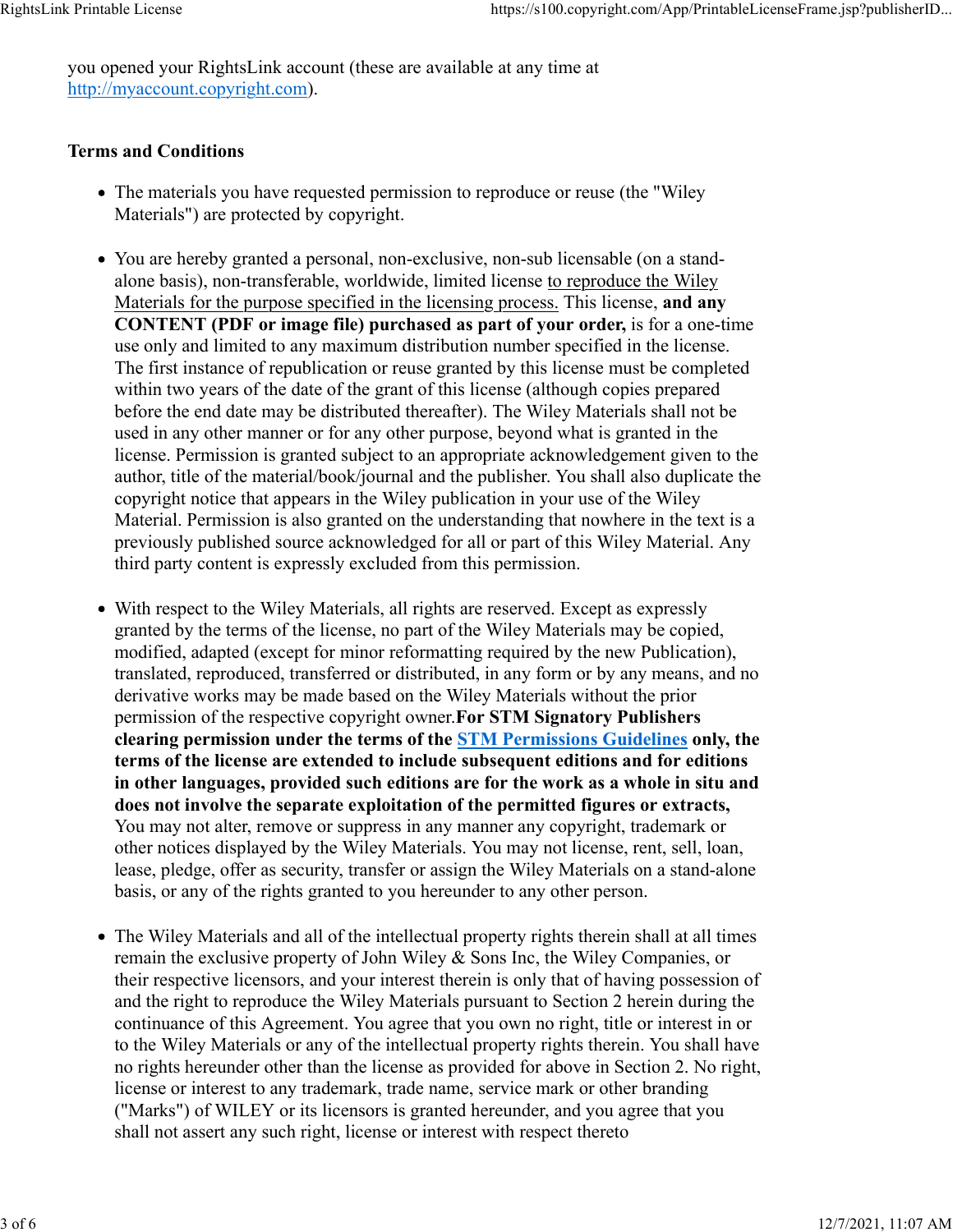you opened your RightsLink account (these are available at any time at http://myaccount.copyright.com). RightsLink Printable License<br>
you opened your RightsLink account (these are available at any time at<br>
http://myaccount.copyright.com).

### Terms and Conditions

- The materials you have requested permission to reproduce or reuse (the "Wiley" Materials") are protected by copyright.
- You are hereby granted a personal, non-exclusive, non-sub licensable (on a standalone basis), non-transferable, worldwide, limited license to reproduce the Wiley Materials for the purpose specified in the licensing process. This license, and any CONTENT (PDF or image file) purchased as part of your order, is for a one-time use only and limited to any maximum distribution number specified in the license. The first instance of republication or reuse granted by this license must be completed within two years of the date of the grant of this license (although copies prepared before the end date may be distributed thereafter). The Wiley Materials shall not be used in any other manner or for any other purpose, beyond what is granted in the license. Permission is granted subject to an appropriate acknowledgement given to the author, title of the material/book/journal and the publisher. You shall also duplicate the copyright notice that appears in the Wiley publication in your use of the Wiley Material. Permission is also granted on the understanding that nowhere in the text is a previously published source acknowledged for all or part of this Wiley Material. Any third party content is expressly excluded from this permission.
- With respect to the Wiley Materials, all rights are reserved. Except as expressly granted by the terms of the license, no part of the Wiley Materials may be copied, modified, adapted (except for minor reformatting required by the new Publication), translated, reproduced, transferred or distributed, in any form or by any means, and no derivative works may be made based on the Wiley Materials without the prior permission of the respective copyright owner.For STM Signatory Publishers clearing permission under the terms of the STM Permissions Guidelines only, the terms of the license are extended to include subsequent editions and for editions in other languages, provided such editions are for the work as a whole in situ and does not involve the separate exploitation of the permitted figures or extracts, You may not alter, remove or suppress in any manner any copyright, trademark or other notices displayed by the Wiley Materials. You may not license, rent, sell, loan, lease, pledge, offer as security, transfer or assign the Wiley Materials on a stand-alone basis, or any of the rights granted to you hereunder to any other person.
- The Wiley Materials and all of the intellectual property rights therein shall at all times remain the exclusive property of John Wiley & Sons Inc, the Wiley Companies, or their respective licensors, and your interest therein is only that of having possession of and the right to reproduce the Wiley Materials pursuant to Section 2 herein during the continuance of this Agreement. You agree that you own no right, title or interest in or to the Wiley Materials or any of the intellectual property rights therein. You shall have no rights hereunder other than the license as provided for above in Section 2. No right, license or interest to any trademark, trade name, service mark or other branding ("Marks") of WILEY or its licensors is granted hereunder, and you agree that you shall not assert any such right, license or interest with respect thereto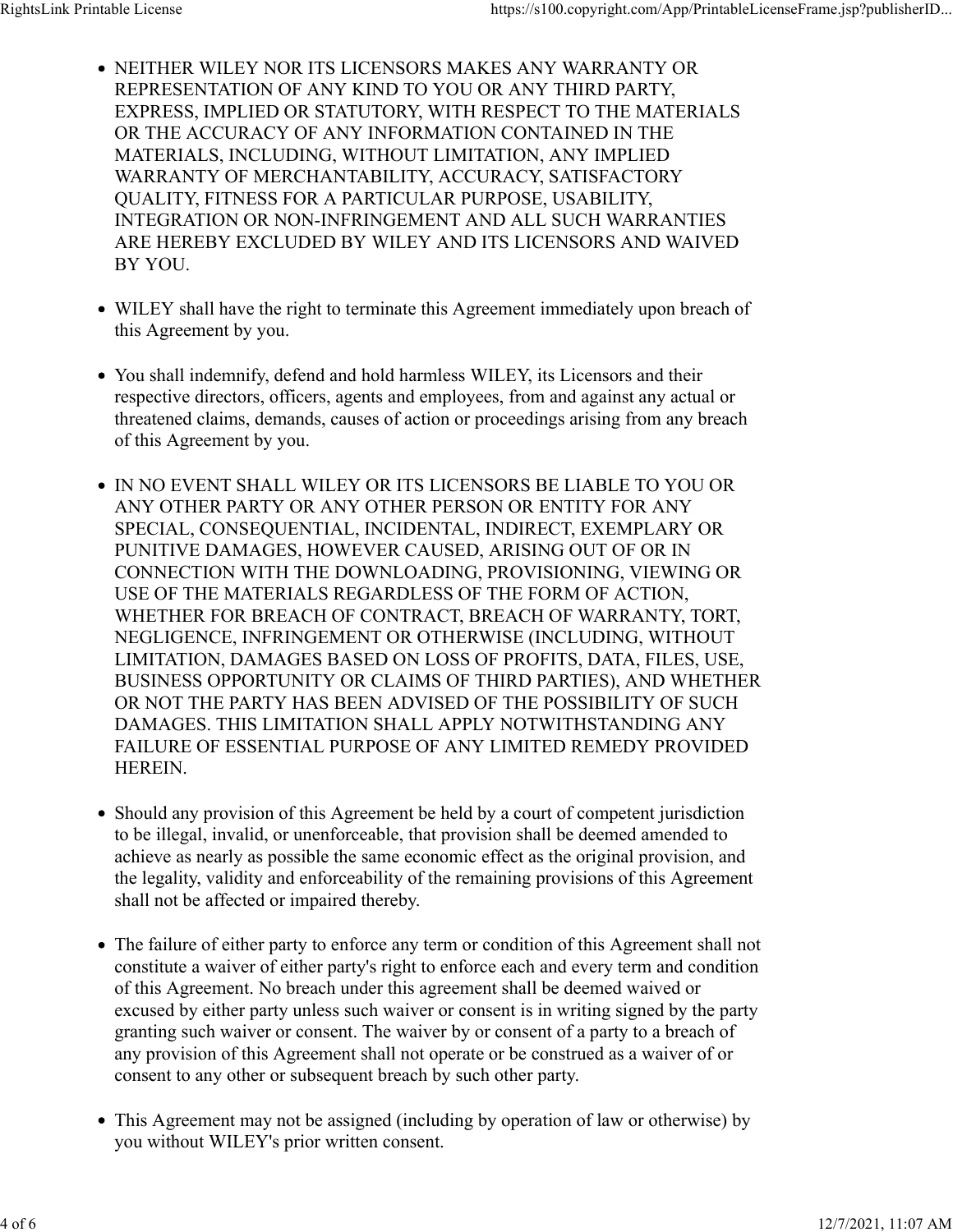- NEITHER WILEY NOR ITS LICENSORS MAKES ANY WARRANTY OR REPRESENTATION OF ANY KIND TO YOU OR ANY THIRD PARTY, EXPRESS, IMPLIED OR STATUTORY, WITH RESPECT TO THE MATERIALS OR THE ACCURACY OF ANY INFORMATION CONTAINED IN THE MATERIALS, INCLUDING, WITHOUT LIMITATION, ANY IMPLIED WARRANTY OF MERCHANTABILITY, ACCURACY, SATISFACTORY QUALITY, FITNESS FOR A PARTICULAR PURPOSE, USABILITY, INTEGRATION OR NON-INFRINGEMENT AND ALL SUCH WARRANTIES ARE HEREBY EXCLUDED BY WILEY AND ITS LICENSORS AND WAIVED BY YOU. RightsLink Printable License<br>• NEITHER WILEY NOR ITS LICENSORS MAKES ANY WARRANTY OR<br>• NEITHER WILEY NOR ITS LICENSORS MAKES ANY WARRANTY OR<br>• REPRESENTATION OF ANY KIND TO YOU OR ANY THIRD PARTY,<br>• EXPRESS IMPLIED OR STAT
	- WILEY shall have the right to terminate this Agreement immediately upon breach of this Agreement by you.
	- You shall indemnify, defend and hold harmless WILEY, its Licensors and their respective directors, officers, agents and employees, from and against any actual or threatened claims, demands, causes of action or proceedings arising from any breach of this Agreement by you.
	- IN NO EVENT SHALL WILEY OR ITS LICENSORS BE LIABLE TO YOU OR ANY OTHER PARTY OR ANY OTHER PERSON OR ENTITY FOR ANY SPECIAL, CONSEQUENTIAL, INCIDENTAL, INDIRECT, EXEMPLARY OR PUNITIVE DAMAGES, HOWEVER CAUSED, ARISING OUT OF OR IN CONNECTION WITH THE DOWNLOADING, PROVISIONING, VIEWING OR USE OF THE MATERIALS REGARDLESS OF THE FORM OF ACTION, WHETHER FOR BREACH OF CONTRACT, BREACH OF WARRANTY, TORT, NEGLIGENCE, INFRINGEMENT OR OTHERWISE (INCLUDING, WITHOUT LIMITATION, DAMAGES BASED ON LOSS OF PROFITS, DATA, FILES, USE, BUSINESS OPPORTUNITY OR CLAIMS OF THIRD PARTIES), AND WHETHER OR NOT THE PARTY HAS BEEN ADVISED OF THE POSSIBILITY OF SUCH DAMAGES. THIS LIMITATION SHALL APPLY NOTWITHSTANDING ANY FAILURE OF ESSENTIAL PURPOSE OF ANY LIMITED REMEDY PROVIDED HEREIN.
	- Should any provision of this Agreement be held by a court of competent jurisdiction to be illegal, invalid, or unenforceable, that provision shall be deemed amended to achieve as nearly as possible the same economic effect as the original provision, and the legality, validity and enforceability of the remaining provisions of this Agreement shall not be affected or impaired thereby.
	- The failure of either party to enforce any term or condition of this Agreement shall not constitute a waiver of either party's right to enforce each and every term and condition of this Agreement. No breach under this agreement shall be deemed waived or excused by either party unless such waiver or consent is in writing signed by the party granting such waiver or consent. The waiver by or consent of a party to a breach of any provision of this Agreement shall not operate or be construed as a waiver of or consent to any other or subsequent breach by such other party.
	- This Agreement may not be assigned (including by operation of law or otherwise) by you without WILEY's prior written consent.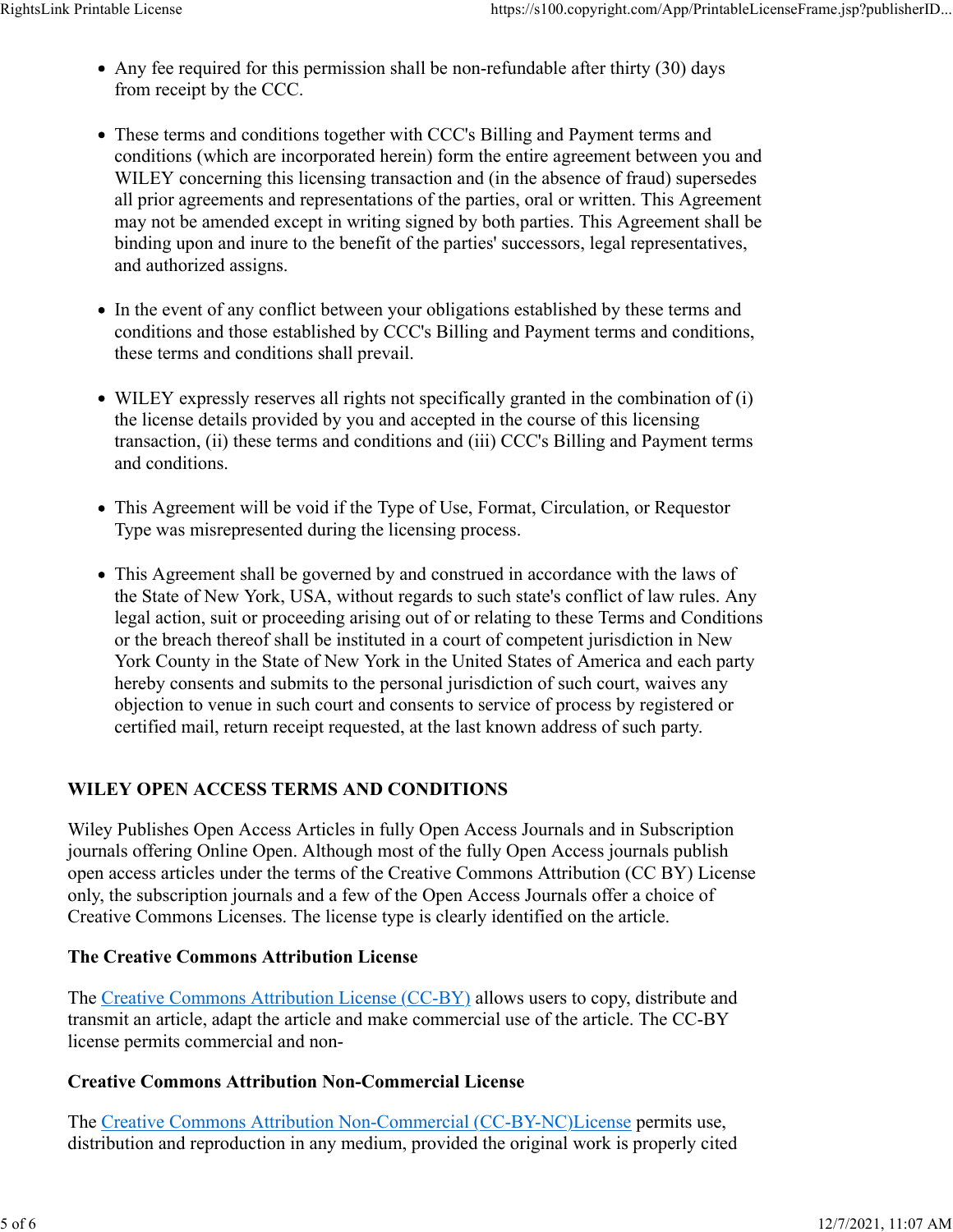- Any fee required for this permission shall be non-refundable after thirty (30) days from receipt by the CCC. RightsLink Printable License<br>
• Any fee required for this permission shall be non-refundable after thirty (30) days<br>
from receipt by the CCC.
	- These terms and conditions together with CCC's Billing and Payment terms and conditions (which are incorporated herein) form the entire agreement between you and WILEY concerning this licensing transaction and (in the absence of fraud) supersedes all prior agreements and representations of the parties, oral or written. This Agreement may not be amended except in writing signed by both parties. This Agreement shall be binding upon and inure to the benefit of the parties' successors, legal representatives, and authorized assigns.
	- In the event of any conflict between your obligations established by these terms and conditions and those established by CCC's Billing and Payment terms and conditions, these terms and conditions shall prevail.
	- WILEY expressly reserves all rights not specifically granted in the combination of (i) the license details provided by you and accepted in the course of this licensing transaction, (ii) these terms and conditions and (iii) CCC's Billing and Payment terms and conditions.
	- This Agreement will be void if the Type of Use, Format, Circulation, or Requestor Type was misrepresented during the licensing process.
	- This Agreement shall be governed by and construed in accordance with the laws of the State of New York, USA, without regards to such state's conflict of law rules. Any legal action, suit or proceeding arising out of or relating to these Terms and Conditions or the breach thereof shall be instituted in a court of competent jurisdiction in New York County in the State of New York in the United States of America and each party hereby consents and submits to the personal jurisdiction of such court, waives any objection to venue in such court and consents to service of process by registered or certified mail, return receipt requested, at the last known address of such party.

# WILEY OPEN ACCESS TERMS AND CONDITIONS

Wiley Publishes Open Access Articles in fully Open Access Journals and in Subscription journals offering Online Open. Although most of the fully Open Access journals publish open access articles under the terms of the Creative Commons Attribution (CC BY) License only, the subscription journals and a few of the Open Access Journals offer a choice of Creative Commons Licenses. The license type is clearly identified on the article.

# The Creative Commons Attribution License

The Creative Commons Attribution License (CC-BY) allows users to copy, distribute and transmit an article, adapt the article and make commercial use of the article. The CC-BY license permits commercial and non-

### Creative Commons Attribution Non-Commercial License

The Creative Commons Attribution Non-Commercial (CC-BY-NC)License permits use, distribution and reproduction in any medium, provided the original work is properly cited